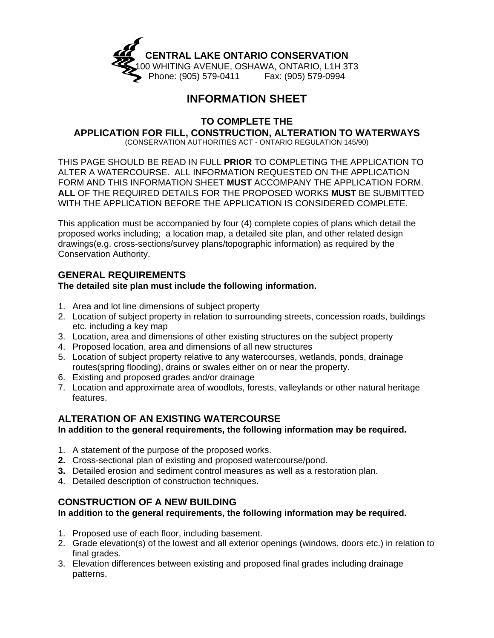

## **INFORMATION SHEET**

**TO COMPLETE THE** 

# **APPLICATION FOR FILL, CONSTRUCTION, ALTERATION TO WATERWAYS**

(CONSERVATION AUTHORITIES ACT - ONTARIO REGULATION 145/90)

THIS PAGE SHOULD BE READ IN FULL **PRIOR** TO COMPLETING THE APPLICATION TO ALTER A WATERCOURSE. ALL INFORMATION REQUESTED ON THE APPLICATION FORM AND THIS INFORMATION SHEET **MUST** ACCOMPANY THE APPLICATION FORM. **ALL** OF THE REQUIRED DETAILS FOR THE PROPOSED WORKS **MUST** BE SUBMITTED WITH THE APPLICATION BEFORE THE APPLICATION IS CONSIDERED COMPLETE.

This application must be accompanied by four (4) complete copies of plans which detail the proposed works including; a location map, a detailed site plan, and other related design drawings(e.g. cross-sections/survey plans/topographic information) as required by the Conservation Authority.

## **GENERAL REQUIREMENTS**

#### **The detailed site plan must include the following information.**

- 1. Area and lot line dimensions of subject property
- 2. Location of subject property in relation to surrounding streets, concession roads, buildings etc. including a key map
- 3. Location, area and dimensions of other existing structures on the subject property
- 4. Proposed location, area and dimensions of all new structures
- 5. Location of subject property relative to any watercourses, wetlands, ponds, drainage routes(spring flooding), drains or swales either on or near the property.
- 6. Existing and proposed grades and/or drainage
- 7. Location and approximate area of woodlots, forests, valleylands or other natural heritage features.

## **ALTERATION OF AN EXISTING WATERCOURSE**

#### **In addition to the general requirements, the following information may be required.**

- 1. A statement of the purpose of the proposed works.
- **2.** Cross-sectional plan of existing and proposed watercourse/pond.
- **3.** Detailed erosion and sediment control measures as well as a restoration plan.
- 4. Detailed description of construction techniques.

#### **CONSTRUCTION OF A NEW BUILDING**

#### **In addition to the general requirements, the following information may be required.**

- 1. Proposed use of each floor, including basement.
- 2. Grade elevation(s) of the lowest and all exterior openings (windows, doors etc.) in relation to final grades.
- 3. Elevation differences between existing and proposed final grades including drainage patterns.